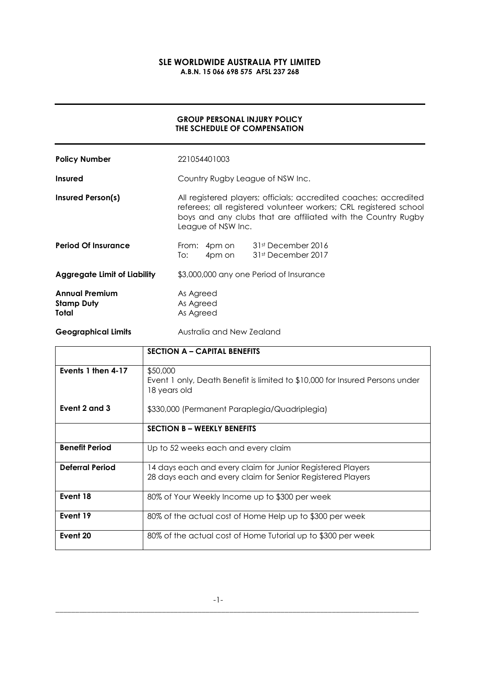# SLE WORLDWIDE AUSTRALIA PTY LIMITED A.B.N. 15 066 698 575 AFSL 237 268

# GROUP PERSONAL INJURY POLICY THE SCHEDULE OF COMPENSATION

| <b>Policy Number</b>                                | 221054401003                                                                                                                                                                                                                  |                                                 |
|-----------------------------------------------------|-------------------------------------------------------------------------------------------------------------------------------------------------------------------------------------------------------------------------------|-------------------------------------------------|
| <b>Insured</b>                                      | Country Rugby League of NSW Inc.                                                                                                                                                                                              |                                                 |
| <b>Insured Person(s)</b>                            | All registered players; officials; accredited coaches; accredited<br>referees; all registered volunteer workers; CRL registered school<br>boys and any clubs that are affiliated with the Country Rugby<br>League of NSW Inc. |                                                 |
| <b>Period Of Insurance</b>                          | From:<br>4pm on<br>To:                                                                                                                                                                                                        | 4pm on 31st December 2016<br>31st December 2017 |
| <b>Aggregate Limit of Liability</b>                 | \$3,000,000 any one Period of Insurance                                                                                                                                                                                       |                                                 |
| <b>Annual Premium</b><br><b>Stamp Duty</b><br>Total | As Agreed<br>As Agreed<br>As Agreed                                                                                                                                                                                           |                                                 |
| <b>Geographical Limits</b>                          | Australia and New Zealand                                                                                                                                                                                                     |                                                 |

|                        | <b>SECTION A - CAPITAL BENEFITS</b>                                                                                      |
|------------------------|--------------------------------------------------------------------------------------------------------------------------|
| Events 1 then 4-17     | \$50,000<br>Event 1 only, Death Benefit is limited to \$10,000 for Insured Persons under<br>18 years old                 |
| Event 2 and 3          | \$330,000 (Permanent Paraplegia/Quadriplegia)                                                                            |
|                        | <b>SECTION B - WEEKLY BENEFITS</b>                                                                                       |
| <b>Benefit Period</b>  | Up to 52 weeks each and every claim                                                                                      |
| <b>Deferral Period</b> | 14 days each and every claim for Junior Registered Players<br>28 days each and every claim for Senior Registered Players |
| Event 18               | 80% of Your Weekly Income up to \$300 per week                                                                           |
| Event 19               | 80% of the actual cost of Home Help up to \$300 per week                                                                 |
| Event 20               | 80% of the actual cost of Home Tutorial up to \$300 per week                                                             |

\_\_\_\_\_\_\_\_\_\_\_\_\_\_\_\_\_\_\_\_\_\_\_\_\_\_\_\_\_\_\_\_\_\_\_\_\_\_\_\_\_\_\_\_\_\_\_\_\_\_\_\_\_\_\_\_\_\_\_\_\_\_\_\_\_\_\_\_\_\_\_\_\_\_\_\_\_\_\_\_\_\_\_\_\_\_\_\_\_\_\_\_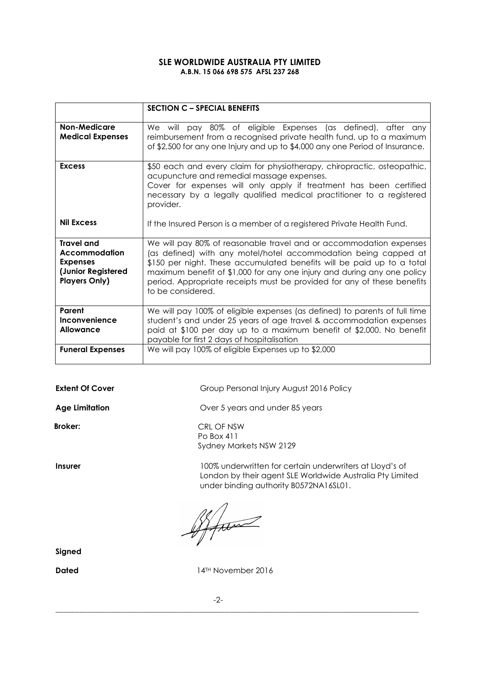### SLE WORLDWIDE AUSTRALIA PTY LIMITED A.B.N. 15 066 698 575 AFSL 237 268

|                                                                                                            | <b>SECTION C - SPECIAL BENEFITS</b>                                                                                                                                                                                                                                                                                                                                                        |
|------------------------------------------------------------------------------------------------------------|--------------------------------------------------------------------------------------------------------------------------------------------------------------------------------------------------------------------------------------------------------------------------------------------------------------------------------------------------------------------------------------------|
| <b>Non-Medicare</b><br><b>Medical Expenses</b>                                                             | We will pay 80% of eligible Expenses (as defined), after any<br>reimbursement from a recognised private health fund, up to a maximum<br>of \$2,500 for any one Injury and up to \$4,000 any one Period of Insurance.                                                                                                                                                                       |
| <b>Excess</b>                                                                                              | \$50 each and every claim for physiotherapy, chiropractic, osteopathic,<br>acupuncture and remedial massage expenses.<br>Cover for expenses will only apply if treatment has been certified<br>necessary by a legally qualified medical practitioner to a registered<br>provider.                                                                                                          |
| <b>Nil Excess</b>                                                                                          | If the Insured Person is a member of a registered Private Health Fund.                                                                                                                                                                                                                                                                                                                     |
| <b>Travel and</b><br><b>Accommodation</b><br><b>Expenses</b><br>(Junior Registered<br><b>Players Only)</b> | We will pay 80% of reasonable travel and or accommodation expenses<br>(as defined) with any motel/hotel accommodation being capped at<br>\$150 per night. These accumulated benefits will be paid up to a total<br>maximum benefit of \$1,000 for any one injury and during any one policy<br>period. Appropriate receipts must be provided for any of these benefits<br>to be considered. |
| Parent<br>Inconvenience<br>Allowance                                                                       | We will pay 100% of eligible expenses (as defined) to parents of full time<br>student's and under 25 years of age travel & accommodation expenses<br>paid at \$100 per day up to a maximum benefit of \$2,000. No benefit<br>payable for first 2 days of hospitalisation                                                                                                                   |
| <b>Funeral Expenses</b>                                                                                    | We will pay 100% of eligible Expenses up to \$2,000                                                                                                                                                                                                                                                                                                                                        |

Age Limitation **Age Limitation** Over 5 years and under 85 years

Broker: CRL OF NSW

Extent Of Cover Group Personal Injury August 2016 Policy

Insurer 100% underwritten for certain underwriters at Lloyd's of London by their agent SLE Worldwide Australia Pty Limited under binding authority B0572NA16SL01.

After

Po Box 411

Sydney Markets NSW 2129

Signed

Dated 14<sup>TH</sup> November 2016

-2-

\_\_\_\_\_\_\_\_\_\_\_\_\_\_\_\_\_\_\_\_\_\_\_\_\_\_\_\_\_\_\_\_\_\_\_\_\_\_\_\_\_\_\_\_\_\_\_\_\_\_\_\_\_\_\_\_\_\_\_\_\_\_\_\_\_\_\_\_\_\_\_\_\_\_\_\_\_\_\_\_\_\_\_\_\_\_\_\_\_\_\_\_